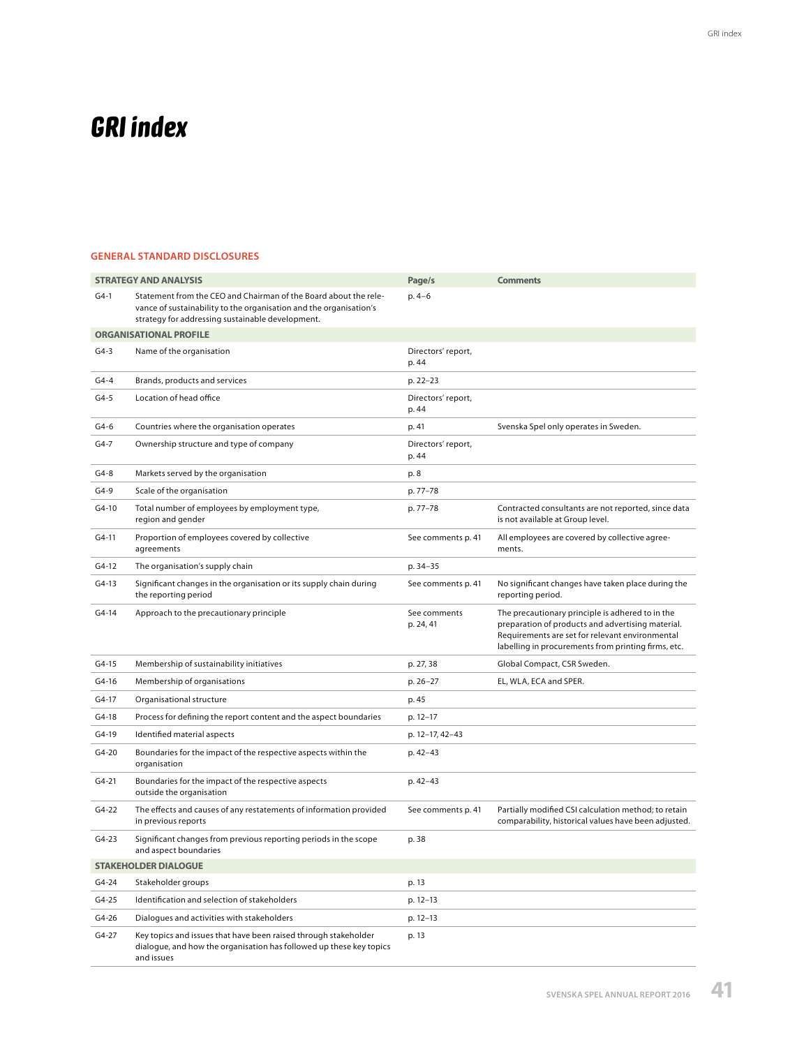## **GRI index**

## GENERAL STANDARD DISCLOSURES

|                             | <b>STRATEGY AND ANALYSIS</b>                                                                                                                                                               | Page/s                      | <b>Comments</b>                                                                                                                                                                                                 |
|-----------------------------|--------------------------------------------------------------------------------------------------------------------------------------------------------------------------------------------|-----------------------------|-----------------------------------------------------------------------------------------------------------------------------------------------------------------------------------------------------------------|
| $G4-1$                      | Statement from the CEO and Chairman of the Board about the rele-<br>vance of sustainability to the organisation and the organisation's<br>strategy for addressing sustainable development. | $p.4-6$                     |                                                                                                                                                                                                                 |
|                             | <b>ORGANISATIONAL PROFILE</b>                                                                                                                                                              |                             |                                                                                                                                                                                                                 |
| $G4-3$                      | Name of the organisation                                                                                                                                                                   | Directors' report,<br>p. 44 |                                                                                                                                                                                                                 |
| G4-4                        | Brands, products and services                                                                                                                                                              | p. 22-23                    |                                                                                                                                                                                                                 |
| G4-5                        | Location of head office                                                                                                                                                                    | Directors' report,<br>p. 44 |                                                                                                                                                                                                                 |
| G4-6                        | Countries where the organisation operates                                                                                                                                                  | p. 41                       | Svenska Spel only operates in Sweden.                                                                                                                                                                           |
| G4-7                        | Ownership structure and type of company                                                                                                                                                    | Directors' report,<br>p. 44 |                                                                                                                                                                                                                 |
| G4-8                        | Markets served by the organisation                                                                                                                                                         | p. 8                        |                                                                                                                                                                                                                 |
| G4-9                        | Scale of the organisation                                                                                                                                                                  | p. 77-78                    |                                                                                                                                                                                                                 |
| G4-10                       | Total number of employees by employment type,<br>region and gender                                                                                                                         | p. 77–78                    | Contracted consultants are not reported, since data<br>is not available at Group level.                                                                                                                         |
| G4-11                       | Proportion of employees covered by collective<br>agreements                                                                                                                                | See comments p. 41          | All employees are covered by collective agree-<br>ments.                                                                                                                                                        |
| G4-12                       | The organisation's supply chain                                                                                                                                                            | p. 34-35                    |                                                                                                                                                                                                                 |
| G4-13                       | Significant changes in the organisation or its supply chain during<br>the reporting period                                                                                                 | See comments p. 41          | No significant changes have taken place during the<br>reporting period.                                                                                                                                         |
| $G4-14$                     | Approach to the precautionary principle                                                                                                                                                    | See comments<br>p. 24, 41   | The precautionary principle is adhered to in the<br>preparation of products and advertising material.<br>Requirements are set for relevant environmental<br>labelling in procurements from printing firms, etc. |
| G4-15                       | Membership of sustainability initiatives                                                                                                                                                   | p. 27, 38                   | Global Compact, CSR Sweden.                                                                                                                                                                                     |
| G4-16                       | Membership of organisations                                                                                                                                                                | p. 26-27                    | EL, WLA, ECA and SPER.                                                                                                                                                                                          |
| G4-17                       | Organisational structure                                                                                                                                                                   | p. 45                       |                                                                                                                                                                                                                 |
| G4-18                       | Process for defining the report content and the aspect boundaries                                                                                                                          | p. 12-17                    |                                                                                                                                                                                                                 |
| G4-19                       | Identified material aspects                                                                                                                                                                | p. 12-17, 42-43             |                                                                                                                                                                                                                 |
| G4-20                       | Boundaries for the impact of the respective aspects within the<br>organisation                                                                                                             | p. 42-43                    |                                                                                                                                                                                                                 |
| G4-21                       | Boundaries for the impact of the respective aspects<br>outside the organisation                                                                                                            | p. 42-43                    |                                                                                                                                                                                                                 |
| $G4-22$                     | The effects and causes of any restatements of information provided<br>in previous reports                                                                                                  | See comments p. 41          | Partially modified CSI calculation method; to retain<br>comparability, historical values have been adjusted.                                                                                                    |
| G4-23                       | Significant changes from previous reporting periods in the scope<br>and aspect boundaries                                                                                                  | p. 38                       |                                                                                                                                                                                                                 |
| <b>STAKEHOLDER DIALOGUE</b> |                                                                                                                                                                                            |                             |                                                                                                                                                                                                                 |
| G4-24                       | Stakeholder groups                                                                                                                                                                         | p. 13                       |                                                                                                                                                                                                                 |
| G4-25                       | Identification and selection of stakeholders                                                                                                                                               | p. 12-13                    |                                                                                                                                                                                                                 |
| G4-26                       | Dialogues and activities with stakeholders                                                                                                                                                 | p. 12–13                    |                                                                                                                                                                                                                 |
| G4-27                       | Key topics and issues that have been raised through stakeholder<br>dialogue, and how the organisation has followed up these key topics<br>and issues                                       | p. 13                       |                                                                                                                                                                                                                 |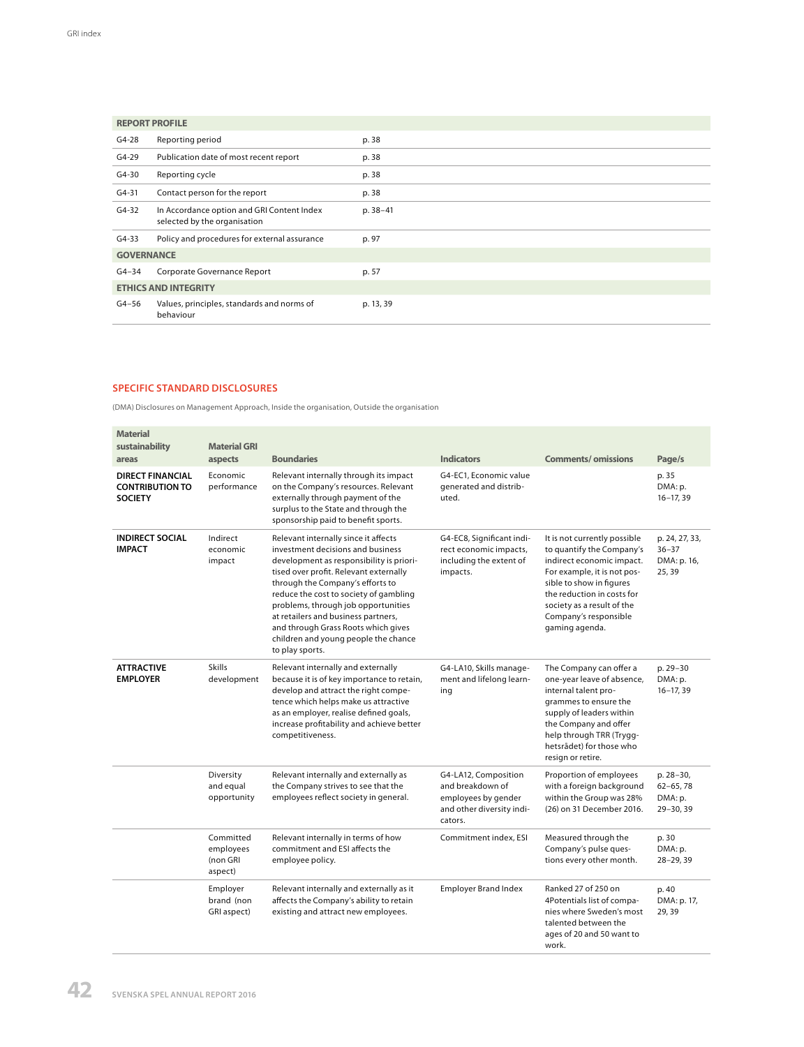|                             | <b>REPORT PROFILE</b>                                                      |           |
|-----------------------------|----------------------------------------------------------------------------|-----------|
| $G4-28$                     | Reporting period                                                           | p. 38     |
| $G4-29$                     | Publication date of most recent report                                     | p. 38     |
| $G4-30$                     | Reporting cycle                                                            | p. 38     |
| $G4 - 31$                   | Contact person for the report                                              | p. 38     |
| $G4-32$                     | In Accordance option and GRI Content Index<br>selected by the organisation | p. 38-41  |
| $G4-33$                     | Policy and procedures for external assurance                               | p. 97     |
| <b>GOVERNANCE</b>           |                                                                            |           |
| $G4 - 34$                   | Corporate Governance Report                                                | p. 57     |
| <b>ETHICS AND INTEGRITY</b> |                                                                            |           |
| G4-56                       | Values, principles, standards and norms of<br>behaviour                    | p. 13, 39 |

## SPECIFIC STANDARD DISCLOSURES

(DMA) Disclosures on Management Approach, Inside the organisation, Outside the organisation

| <b>Material</b><br>sustainability                                   | <b>Material GRI</b>                           |                                                                                                                                                                                                                                                                                                                                                                                                                               |                                                                                                         |                                                                                                                                                                                                                                                          |                                                     |
|---------------------------------------------------------------------|-----------------------------------------------|-------------------------------------------------------------------------------------------------------------------------------------------------------------------------------------------------------------------------------------------------------------------------------------------------------------------------------------------------------------------------------------------------------------------------------|---------------------------------------------------------------------------------------------------------|----------------------------------------------------------------------------------------------------------------------------------------------------------------------------------------------------------------------------------------------------------|-----------------------------------------------------|
| areas                                                               | aspects                                       | <b>Boundaries</b>                                                                                                                                                                                                                                                                                                                                                                                                             | <b>Indicators</b>                                                                                       | <b>Comments/omissions</b>                                                                                                                                                                                                                                | Page/s                                              |
| <b>DIRECT FINANCIAL</b><br><b>CONTRIBUTION TO</b><br><b>SOCIETY</b> | Economic<br>performance                       | Relevant internally through its impact<br>on the Company's resources. Relevant<br>externally through payment of the<br>surplus to the State and through the<br>sponsorship paid to benefit sports.                                                                                                                                                                                                                            | G4-EC1. Economic value<br>aenerated and distrib-<br>uted.                                               |                                                                                                                                                                                                                                                          | p. 35<br>DMA: p.<br>$16 - 17, 39$                   |
| <b>INDIRECT SOCIAL</b><br><b>IMPACT</b>                             | Indirect<br>economic<br>impact                | Relevant internally since it affects<br>investment decisions and business<br>development as responsibility is priori-<br>tised over profit. Relevant externally<br>through the Company's efforts to<br>reduce the cost to society of gambling<br>problems, through job opportunities<br>at retailers and business partners,<br>and through Grass Roots which gives<br>children and young people the chance<br>to play sports. | G4-EC8, Significant indi-<br>rect economic impacts,<br>including the extent of<br>impacts.              | It is not currently possible<br>to quantify the Company's<br>indirect economic impact.<br>For example, it is not pos-<br>sible to show in figures<br>the reduction in costs for<br>society as a result of the<br>Company's responsible<br>gaming agenda. | p. 24, 27, 33,<br>$36 - 37$<br>DMA: p. 16,<br>25,39 |
| <b>ATTRACTIVE</b><br><b>EMPLOYER</b>                                | <b>Skills</b><br>development                  | Relevant internally and externally<br>because it is of key importance to retain,<br>develop and attract the right compe-<br>tence which helps make us attractive<br>as an employer, realise defined goals,<br>increase profitability and achieve better<br>competitiveness.                                                                                                                                                   | G4-LA10, Skills manage-<br>ment and lifelong learn-<br>ing                                              | The Company can offer a<br>one-year leave of absence,<br>internal talent pro-<br>grammes to ensure the<br>supply of leaders within<br>the Company and offer<br>help through TRR (Trygg-<br>hetsrådet) for those who<br>resign or retire.                 | p. 29-30<br>DMA: p.<br>$16 - 17, 39$                |
|                                                                     | Diversity<br>and equal<br>opportunity         | Relevant internally and externally as<br>the Company strives to see that the<br>employees reflect society in general.                                                                                                                                                                                                                                                                                                         | G4-LA12, Composition<br>and breakdown of<br>employees by gender<br>and other diversity indi-<br>cators. | Proportion of employees<br>with a foreign background<br>within the Group was 28%<br>(26) on 31 December 2016.                                                                                                                                            | p. 28-30,<br>$62 - 65, 78$<br>DMA: p.<br>29-30, 39  |
|                                                                     | Committed<br>employees<br>(non GRI<br>aspect) | Relevant internally in terms of how<br>commitment and ESI affects the<br>employee policy.                                                                                                                                                                                                                                                                                                                                     | Commitment index, ESI                                                                                   | Measured through the<br>Company's pulse ques-<br>tions every other month.                                                                                                                                                                                | p. 30<br>DMA: p.<br>28-29, 39                       |
|                                                                     | Employer<br>brand (non<br>GRI aspect)         | Relevant internally and externally as it<br>affects the Company's ability to retain<br>existing and attract new employees.                                                                                                                                                                                                                                                                                                    | <b>Employer Brand Index</b>                                                                             | Ranked 27 of 250 on<br>4Potentials list of compa-<br>nies where Sweden's most<br>talented between the<br>ages of 20 and 50 want to<br>work.                                                                                                              | p. 40<br>DMA: p. 17,<br>29, 39                      |